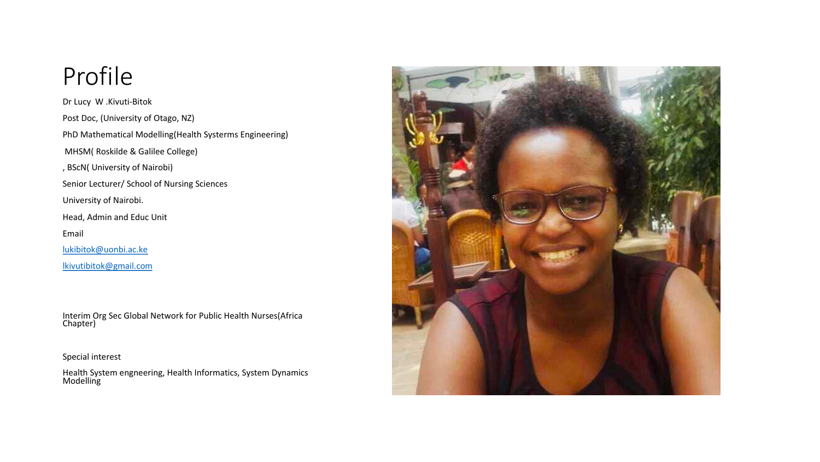### Profile

Dr Lucy W .Kivuti-Bitok Post Doc, (University of Otago, NZ) PhD Mathematical Modelling(Health Systerms Engineering) MHSM( Roskilde & Galilee College) , BScN( University of Nairobi) Senior Lecturer/ School of Nursing Sciences University of Nairobi. Head, Admin and Educ Unit Email [lukibitok@uonbi.ac.ke](mailto:lukibitok@uonbi.ac.ke)

[lkivutibitok@gmail.com](mailto:lkivutibitok@gmail.com)

Interim Org Sec Global Network for Public Health Nurses(Africa Chapter)

Special interest

Health System engneering, Health Informatics, System Dynamics **Modelling** 

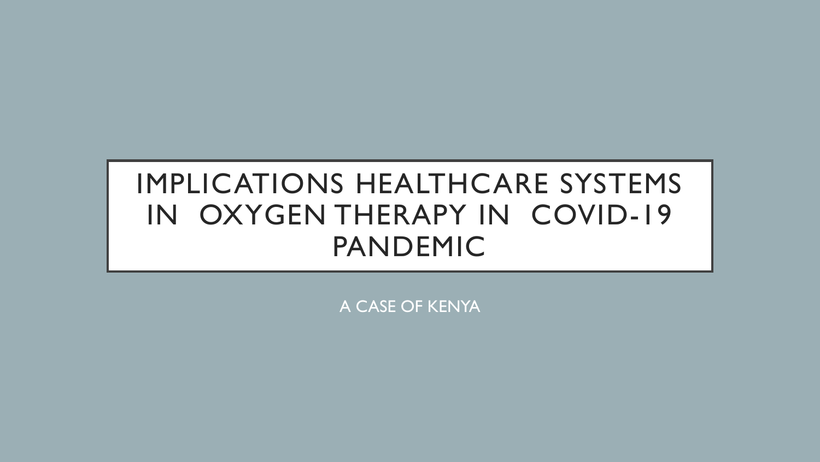## IMPLICATIONS HEALTHCARE SYSTEMS IN OXYGEN THERAPY IN COVID-19 PANDEMIC

A CASE OF KENYA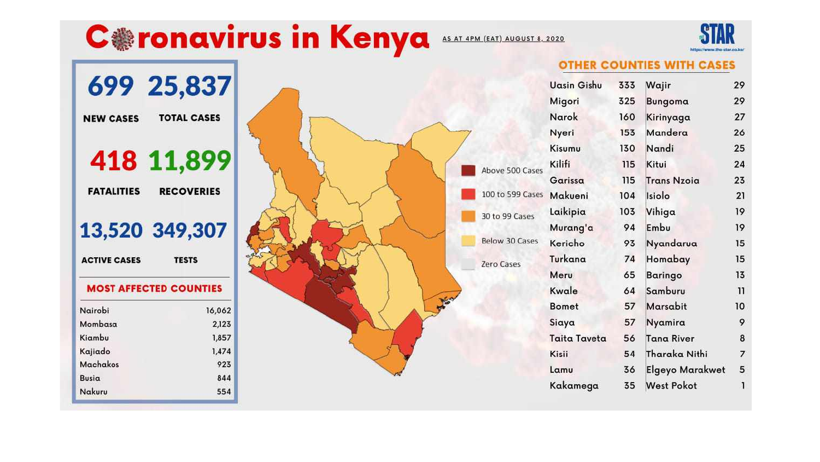## **Coronavirus in Kenya**

AS AT 4PM (EAT) AUGUST 8, 2020



 $\overline{7}$ 

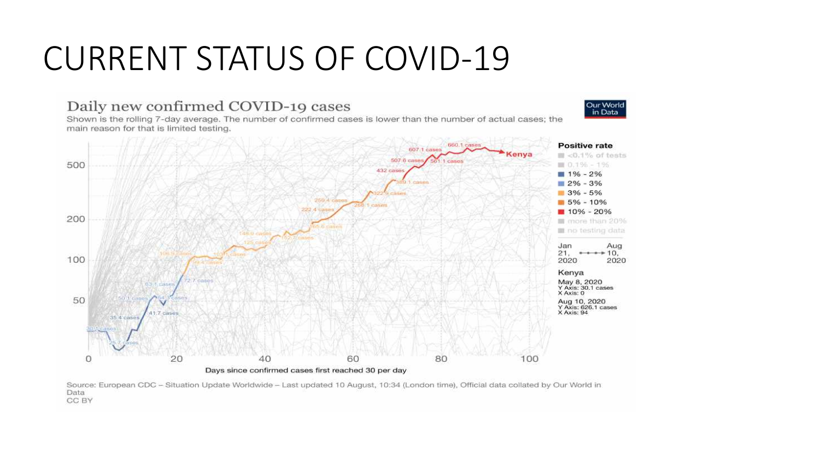## CURRENT STATUS OF COVID-19

#### Daily new confirmed COVID-19 cases

Shown is the rolling 7-day average. The number of confirmed cases is lower than the number of actual cases; the main reason for that is limited testing.



Our World in Data

Source: European CDC - Situation Update Worldwide - Last updated 10 August, 10:34 (London time), Official data collated by Our World in Data CC BY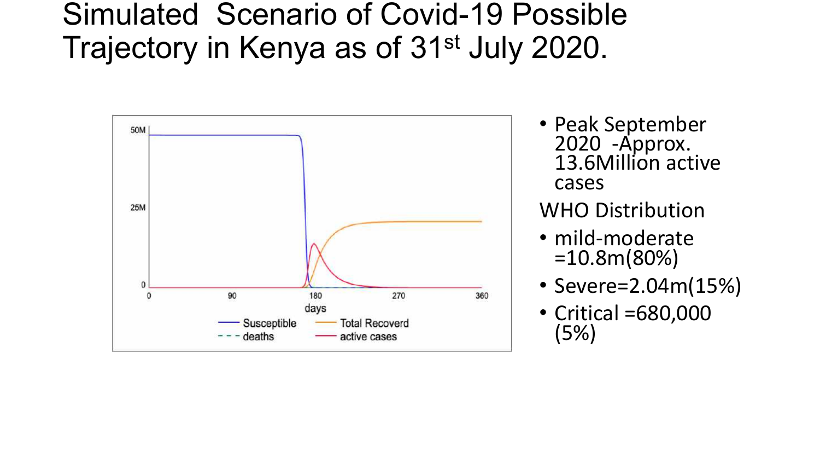## Simulated Scenario of Covid-19 Possible Trajectory in Kenya as of 31<sup>st</sup> July 2020.



• Peak September 2020 -Approx. 13.6Million active cases

#### WHO Distribution

- mild-moderate =10.8m(80%)
- Severe=2.04m(15%)
- Critical =680,000 (5%)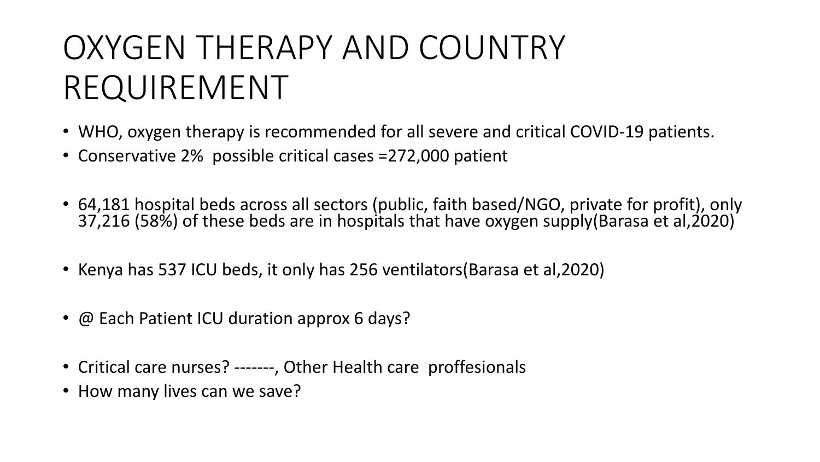# OXYGEN THERAPY AND COUNTRY REQUIREMENT

- WHO, oxygen therapy is recommended for all severe and critical COVID-19 patients.
- Conservative 2% possible critical cases =272,000 patient
- 64,181 hospital beds across all sectors (public, faith based/NGO, private for profit), only 37,216 (58%) of these beds are in hospitals that have oxygen supply(Barasa et al,2020)
- Kenya has 537 ICU beds, it only has 256 ventilators(Barasa et al,2020)
- @ Each Patient ICU duration approx 6 days?
- Critical care nurses? -------, Other Health care proffesionals
- How many lives can we save?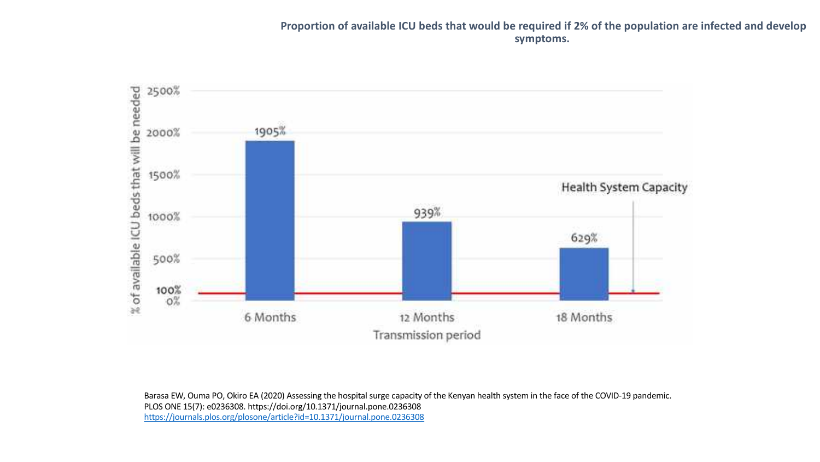#### **Proportion of available ICU beds that would be required if 2% of the population are infected and develop symptoms.**



Barasa EW, Ouma PO, Okiro EA (2020) Assessing the hospital surge capacity of the Kenyan health system in the face of the COVID-19 pandemic. PLOS ONE 15(7): e0236308. https://doi.org/10.1371/journal.pone.0236308 <https://journals.plos.org/plosone/article?id=10.1371/journal.pone.0236308>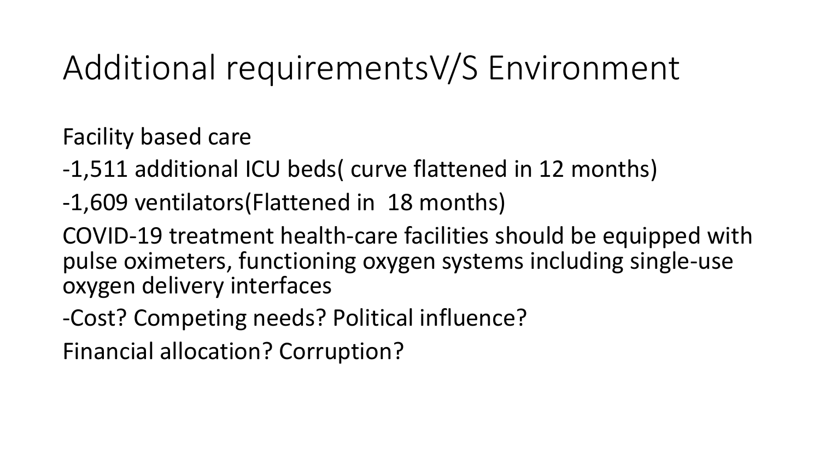# Additional requirementsV/S Environment

Facility based care

- -1,511 additional ICU beds( curve flattened in 12 months)
- -1,609 ventilators(Flattened in 18 months)

COVID-19 treatment health-care facilities should be equipped with pulse oximeters, functioning oxygen systems including single-use oxygen delivery interfaces

-Cost? Competing needs? Political influence?

Financial allocation? Corruption?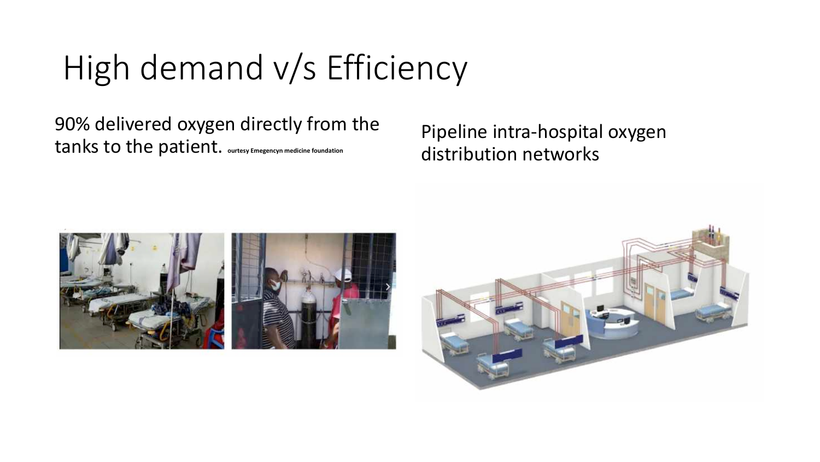# High demand v/s Efficiency

90% delivered oxygen directly from the tanks to the patient. **ourtesy Emegencyn medicine foundation**

Pipeline intra-hospital oxygen distribution networks



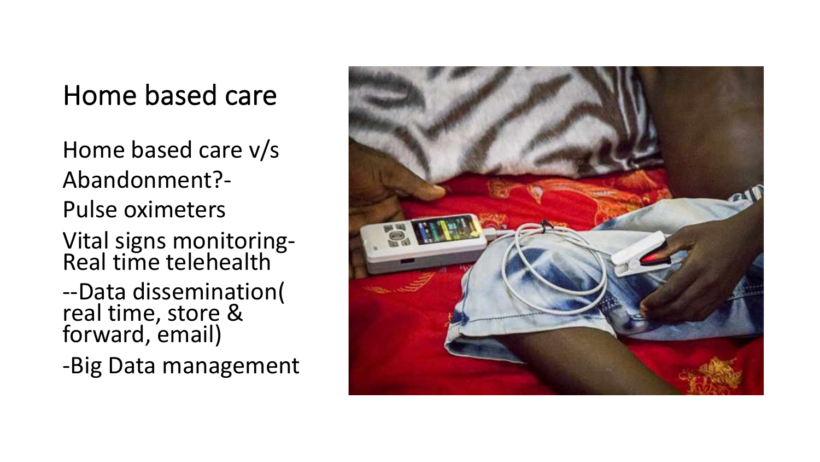## Home based care

Home based care v/s Abandonment?- Pulse oximeters Vital signs monitoring- Real time telehealth --Data dissemination( real time, store & forward, email)

-Big Data management

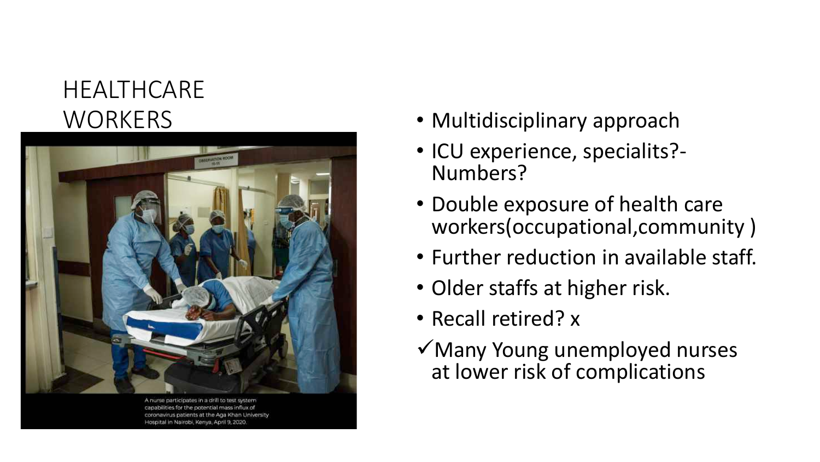### HEALTHCARE **WORKERS**



A nurse participates in a drill to tes coronavirus patients at the Aga Khan University. Hospital in Nairobi, Kenya, April 9, 2020.

- Multidisciplinary approach
- ICU experience, specialits? Numbers?
- Double exposure of health care workers(occupational,community )
- Further reduction in available staff.
- Older staffs at higher risk.
- Recall retired? x
- $\sqrt{\frac{1}{10}}$ Many Young unemployed nurses at lower risk of complications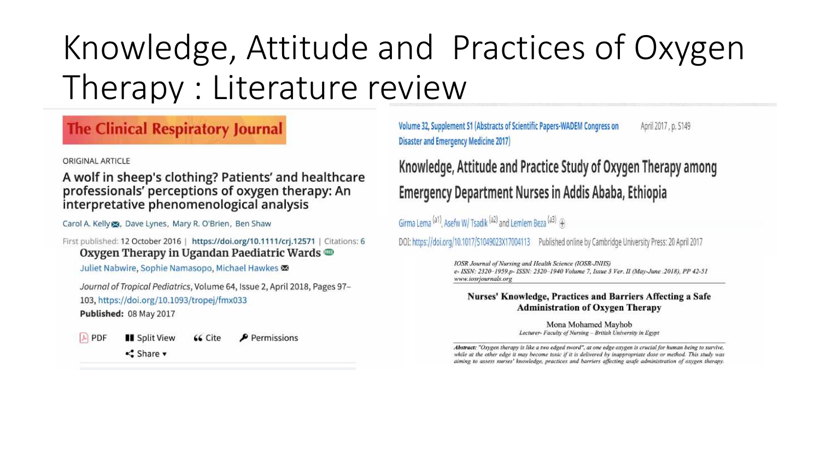# Knowledge, Attitude and Practices of Oxygen Therapy : Literature review

#### **The Clinical Respiratory Journal**

ORIGINAL ARTICLE

A wolf in sheep's clothing? Patients' and healthcare professionals' perceptions of oxygen therapy: An interpretative phenomenological analysis

Carol A. Kelly &, Dave Lynes, Mary R. O'Brien, Ben Shaw

First published: 12 October 2016 | https://doi.org/10.1111/crj.12571 | Citations: 6 Oxygen Therapy in Ugandan Paediatric Wards  $\oplus$ 

Juliet Nabwire, Sophie Namasopo, Michael Hawkes

Journal of Tropical Pediatrics, Volume 64, Issue 2, April 2018, Pages 97-103, https://doi.org/10.1093/tropej/fmx033 Published: 08 May 2017

 $|A|$  PDF **II** Split View

 $\blacktriangleright$  Permissions 66 Cite

<<Share ▼

Volume 32, Supplement S1 (Abstracts of Scientific Papers-WADEM Congress on April 2017, p. S149 **Disaster and Emergency Medicine 2017)** 

Knowledge, Attitude and Practice Study of Oxygen Therapy among **Emergency Department Nurses in Addis Ababa, Ethiopia** 

Girma Lema (a1), Asefw W/ Tsadik (a2) and Lemlem Beza (a3) +

DOI: https://doi.org/10.1017/S1049023X17004113 Published online by Cambridge University Press: 20 April 2017

IOSR Journal of Nursing and Health Science (IOSR-JNHS) e- ISSN: 2320-1959.p- ISSN: 2320-1940 Volume 7, Issue 3 Ver. II (May-June .2018), PP 42-51 www.iosrjournals.org

#### Nurses' Knowledge, Practices and Barriers Affecting a Safe **Administration of Oxygen Therapy**

Mona Mohamed Mayhob Lecturer- Faculty of Nursing - British University in Egypt

Abstract: "Oxygen therapy is like a two edged sword", at one edge oxygen is crucial for human being to survive, while at the other edge it may become toxic if it is delivered by inappropriate dose or method. This study was aiming to assess nurses' knowledge, practices and barriers affecting asafe administration of oxygen therapy.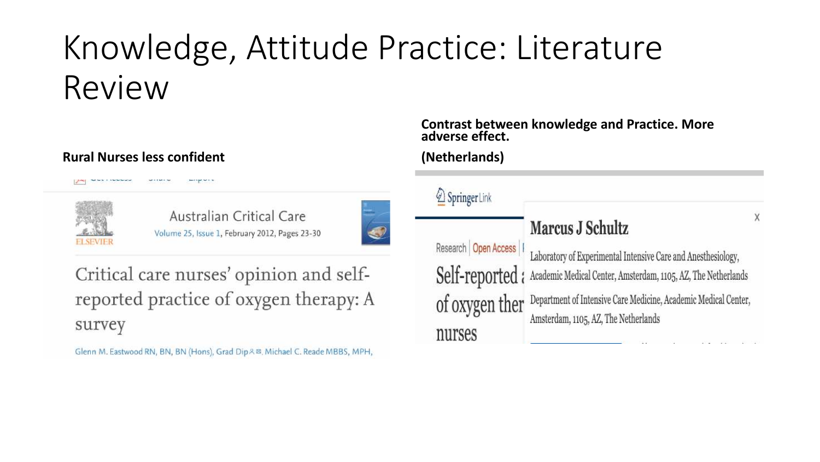# Knowledge, Attitude Practice: Literature Review

#### **Rural Nurses less confident**



Australian Critical Care Volume 25, Issue 1, February 2012, Pages 23-30



Critical care nurses' opinion and selfreported practice of oxygen therapy: A survey

Glenn M. Eastwood RN, BN, BN (Hons), Grad Dip & 29. Michael C. Reade MBBS, MPH,

**Contrast between knowledge and Practice. More adverse effect.**

#### **(Netherlands)**

| SpringerLink             |                                                                              |                         |
|--------------------------|------------------------------------------------------------------------------|-------------------------|
|                          | Marcus J Schultz                                                             | $\overline{\mathsf{x}}$ |
| Research Open Access   I | Laboratory of Experimental Intensive Care and Anesthesiology,                |                         |
|                          | Self-reported: Academic Medical Center, Amsterdam, 1105, AZ, The Netherlands |                         |
| of oxygen ther           | Department of Intensive Care Medicine, Academic Medical Center,              |                         |
| nurses                   | Amsterdam, 1105, AZ, The Netherlands                                         |                         |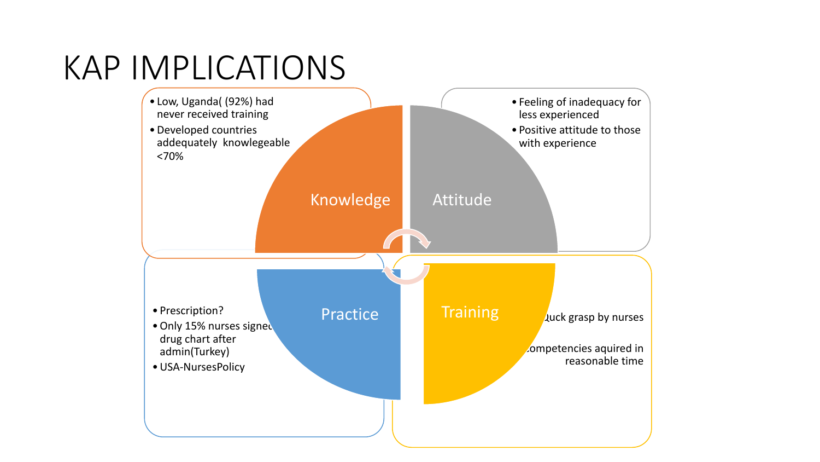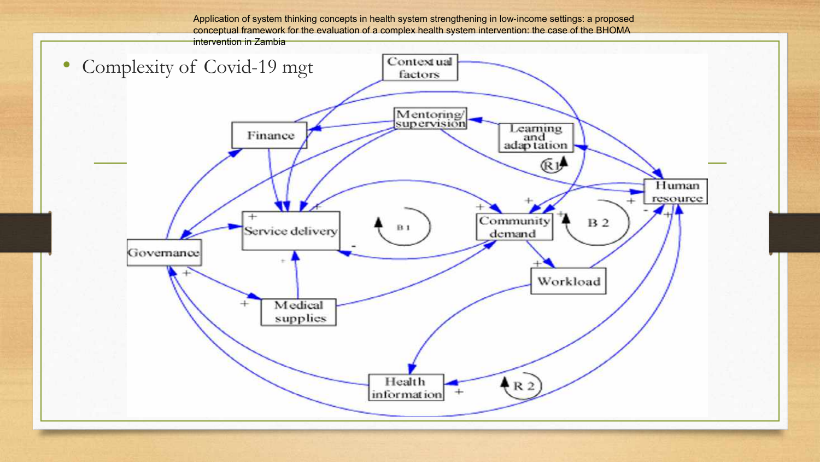Application of system thinking concepts in health system strengthening in low-income settings: a proposed conceptual framework for the evaluation of a complex health system intervention: the case of the BHOMA intervention in Zambia